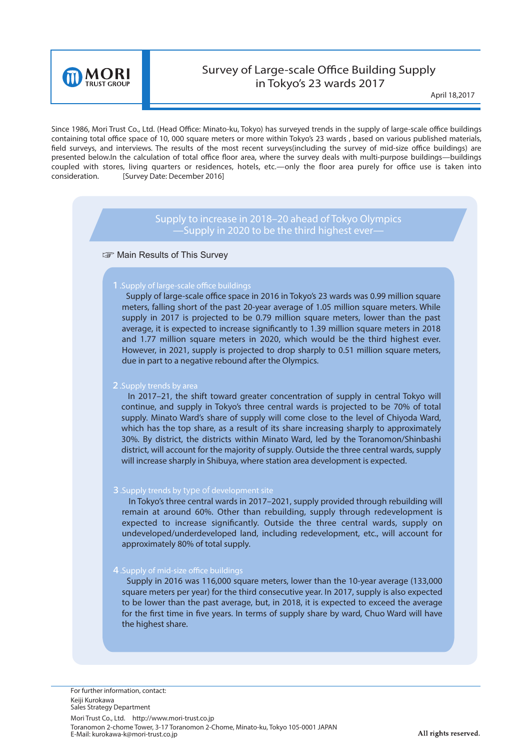

# Survey of Large-scale Office Building Supply in Tokyo's 23 wards 2017

April **18,**2017

Since 1986, Mori Trust Co., Ltd. (Head Office: Minato-ku, Tokyo) has surveyed trends in the supply of large-scale office buildings containing total office space of 10, 000 square meters or more within Tokyo's 23 wards , based on various published materials, field surveys, and interviews. The results of the most recent surveys(including the survey of mid-size office buildings) are presented below.In the calculation of total office floor area, where the survey deals with multi-purpose buildings—buildings coupled with stores, living quarters or residences, hotels, etc.—only the floor area purely for office use is taken into consideration. [Survey Date: December 2016]

## **Supply to increase in 2018–20 ahead of Tokyo Olympics —Supply in 2020 to be the third highest ever—**

### **Solution** Results of This Survey

### **1**. Supply of large-scale office buildings

Supply of large-scale office space in 2016 in Tokyo's 23 wards was 0.99 million square meters, falling short of the past 20-year average of 1.05 million square meters. While supply in 2017 is projected to be 0.79 million square meters, lower than the past average, it is expected to increase significantly to 1.39 million square meters in 2018 and 1.77 million square meters in 2020, which would be the third highest ever. However, in 2021, supply is projected to drop sharply to 0.51 million square meters, due in part to a negative rebound after the Olympics.

### 2**.Supply trends by area**

 In 2017–21, the shift toward greater concentration of supply in central Tokyo will continue, and supply in Tokyo's three central wards is projected to be 70% of total supply. Minato Ward's share of supply will come close to the level of Chiyoda Ward, which has the top share, as a result of its share increasing sharply to approximately 30%. By district, the districts within Minato Ward, led by the Toranomon/Shinbashi district, will account for the majority of supply. Outside the three central wards, supply will increase sharply in Shibuya, where station area development is expected.

### 3**.Supply trends by** type of **development site**

 In Tokyo's three central wards in 2017–2021, supply provided through rebuilding will remain at around 60%. Other than rebuilding, supply through redevelopment is expected to increase significantly. Outside the three central wards, supply on undeveloped/underdeveloped land, including redevelopment, etc., will account for approximately 80% of total supply.

### 4 .Supply of mid-size office buildings

 Supply in 2016 was 116,000 square meters, lower than the 10-year average (133,000 square meters per year) for the third consecutive year. In 2017, supply is also expected to be lower than the past average, but, in 2018, it is expected to exceed the average for the first time in five years. In terms of supply share by ward, Chuo Ward will have the highest share.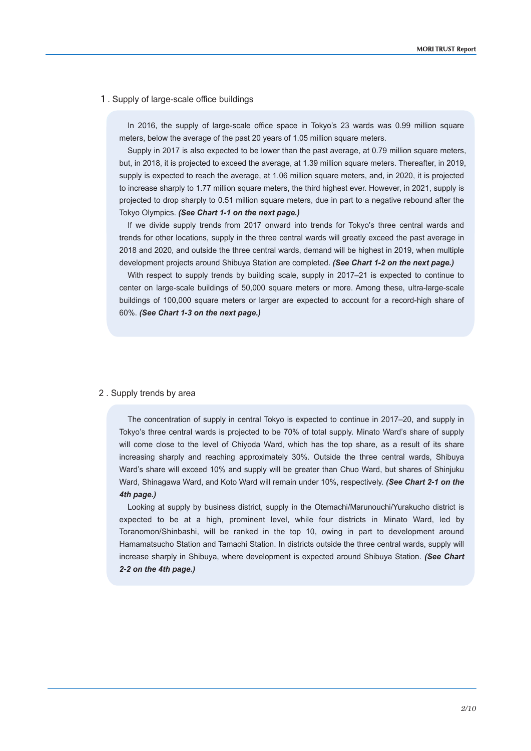#### 1. Supply of large-scale office buildings

In 2016, the supply of large-scale office space in Tokyo's 23 wards was 0.99 million square meters, below the average of the past 20 years of 1.05 million square meters.

Supply in 2017 is also expected to be lower than the past average, at 0.79 million square meters, but, in 2018, it is projected to exceed the average, at 1.39 million square meters. Thereafter, in 2019, supply is expected to reach the average, at 1.06 million square meters, and, in 2020, it is projected to increase sharply to 1.77 million square meters, the third highest ever. However, in 2021, supply is projected to drop sharply to 0.51 million square meters, due in part to a negative rebound after the Tokyo Olympics. *(See Chart 1-1 on the next page.)*

If we divide supply trends from 2017 onward into trends for Tokyo's three central wards and trends for other locations, supply in the three central wards will greatly exceed the past average in 2018 and 2020, and outside the three central wards, demand will be highest in 2019, when multiple development projects around Shibuya Station are completed. *(See Chart 1-2 on the next page.)*

With respect to supply trends by building scale, supply in 2017–21 is expected to continue to center on large-scale buildings of 50,000 square meters or more. Among these, ultra-large-scale buildings of 100,000 square meters or larger are expected to account for a record-high share of 60%. *(See Chart 1-3 on the next page.)*

#### 2 . Supply trends by area

The concentration of supply in central Tokyo is expected to continue in 2017–20, and supply in Tokyo's three central wards is projected to be 70% of total supply. Minato Ward's share of supply will come close to the level of Chiyoda Ward, which has the top share, as a result of its share increasing sharply and reaching approximately 30%. Outside the three central wards, Shibuya Ward's share will exceed 10% and supply will be greater than Chuo Ward, but shares of Shinjuku Ward, Shinagawa Ward, and Koto Ward will remain under 10%, respectively. *(See Chart 2-1 on the 4th page.)*

Looking at supply by business district, supply in the Otemachi/Marunouchi/Yurakucho district is expected to be at a high, prominent level, while four districts in Minato Ward, led by Toranomon/Shinbashi, will be ranked in the top 10, owing in part to development around Hamamatsucho Station and Tamachi Station. In districts outside the three central wards, supply will increase sharply in Shibuya, where development is expected around Shibuya Station. *(See Chart 2-2 on the 4th page.)*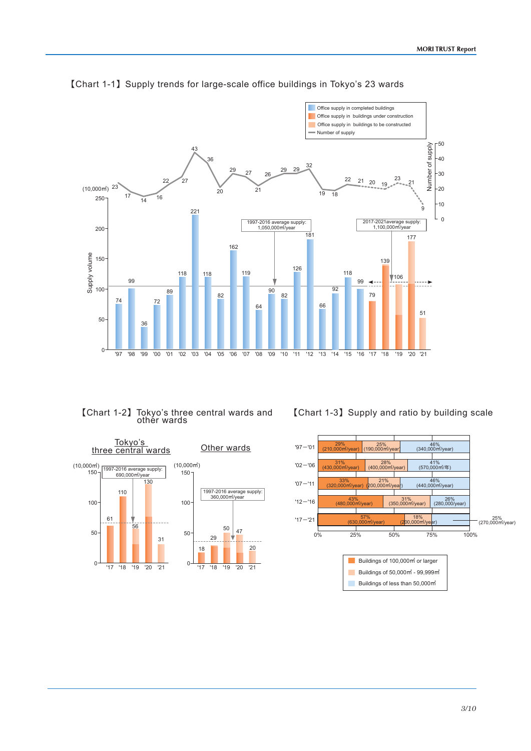

## ࠙Chart 1-1ࠚSupply trends for large-scale office buildings in Tokyo's 23 wards

### ࠙Chart 1-2ࠚTokyo's three central wards and other wards



### [Chart 1-3] Supply and ratio by building scale

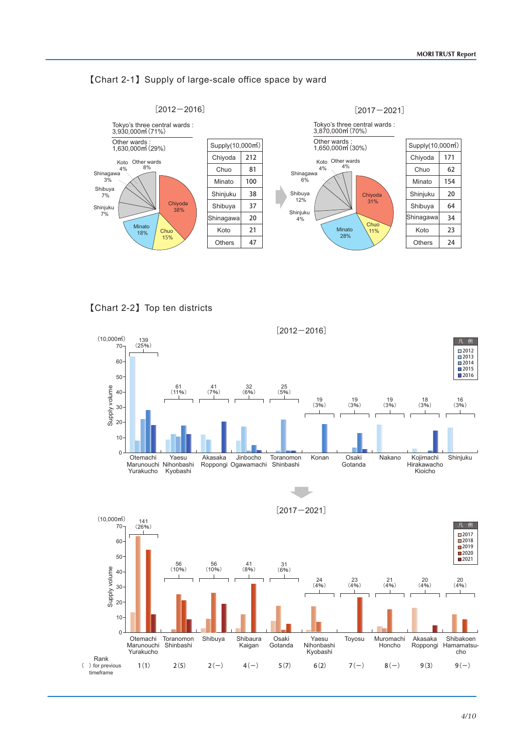





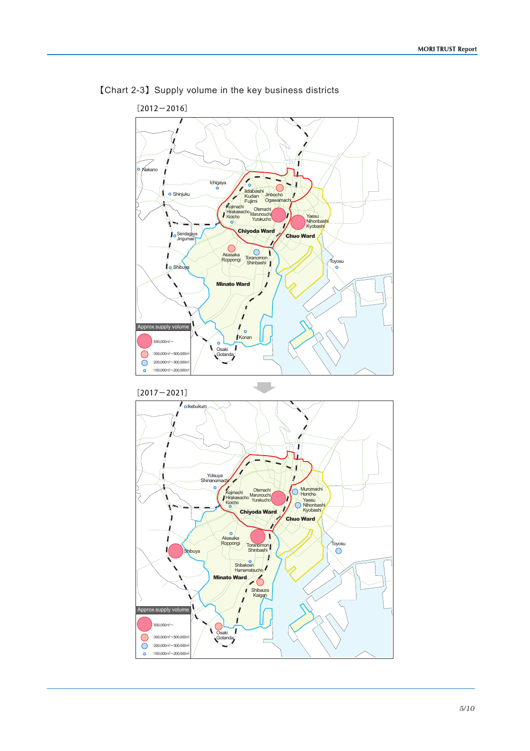

# ࠙Chart 2-3ࠚSupply volume in the key business districts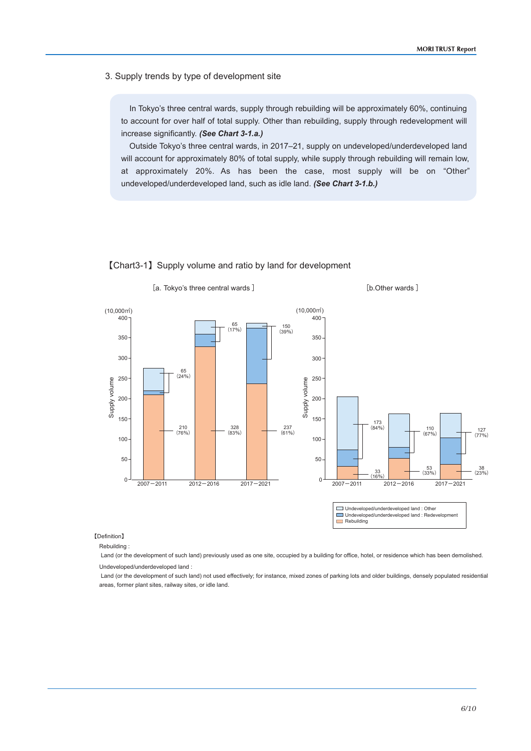3. Supply trends by type of development site

In Tokyo's three central wards, supply through rebuilding will be approximately 60%, continuing to account for over half of total supply. Other than rebuilding, supply through redevelopment will increase significantly. *(See Chart 3-1.a.)*

Outside Tokyo's three central wards, in 2017–21, supply on undeveloped/underdeveloped land will account for approximately 80% of total supply, while supply through rebuilding will remain low, at approximately 20%. As has been the case, most supply will be on "Other" undeveloped/underdeveloped land, such as idle land. *(See Chart 3-1.b.)*



### ࠙Chart3-1ࠚSupply volume and ratio by land for development

ࠚDefinition࠙

Rebuilding :

 Land (or the development of such land) previously used as one site, occupied by a building for office, hotel, or residence which has been demolished. Undeveloped/underdeveloped land :

 Land (or the development of such land) not used effectively; for instance, mixed zones of parking lots and older buildings, densely populated residential areas, former plant sites, railway sites, or idle land.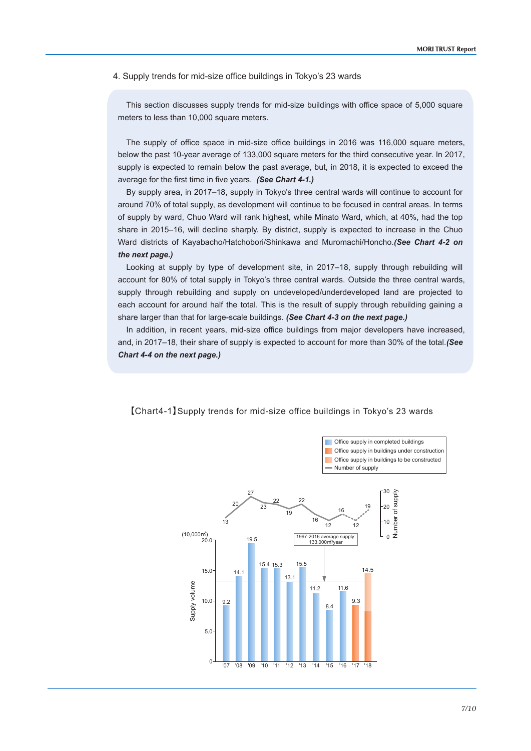4. Supply trends for mid-size office buildings in Tokyo's 23 wards

This section discusses supply trends for mid-size buildings with office space of 5,000 square meters to less than 10,000 square meters.

The supply of office space in mid-size office buildings in 2016 was 116,000 square meters, below the past 10-year average of 133,000 square meters for the third consecutive year. In 2017, supply is expected to remain below the past average, but, in 2018, it is expected to exceed the average for the first time in five years. *(See Chart 4-1.)*

By supply area, in 2017–18, supply in Tokyo's three central wards will continue to account for around 70% of total supply, as development will continue to be focused in central areas. In terms of supply by ward, Chuo Ward will rank highest, while Minato Ward, which, at 40%, had the top share in 2015–16, will decline sharply. By district, supply is expected to increase in the Chuo Ward districts of Kayabacho/Hatchobori/Shinkawa and Muromachi/Honcho.*(See Chart 4-2 on the next page.)*

Looking at supply by type of development site, in 2017–18, supply through rebuilding will account for 80% of total supply in Tokyo's three central wards. Outside the three central wards, supply through rebuilding and supply on undeveloped/underdeveloped land are projected to each account for around half the total. This is the result of supply through rebuilding gaining a share larger than that for large-scale buildings. *(See Chart 4-3 on the next page.)*

In addition, in recent years, mid-size office buildings from major developers have increased, and, in 2017–18, their share of supply is expected to account for more than 30% of the total.*(See Chart 4-4 on the next page.)*



【Chart4-1】Supply trends for mid-size office buildings in Tokyo's 23 wards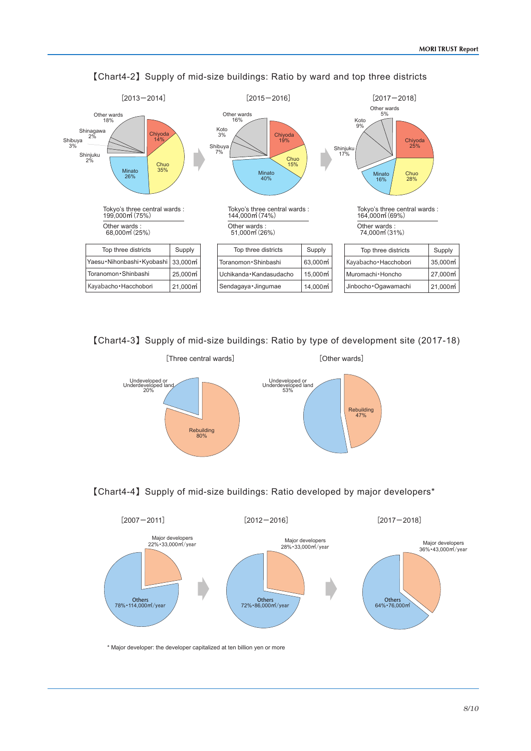

࠙Chart4-2ࠚSupply of mid-size buildings: Ratio by ward and top three districts

[Chart4-3] Supply of mid-size buildings: Ratio by type of development site (2017-18)



### ࠙Chart4-4ࠚSupply of mid-size buildings: Ratio developed by major developers\*



\* Major developer: the developer capitalized at ten billion yen or more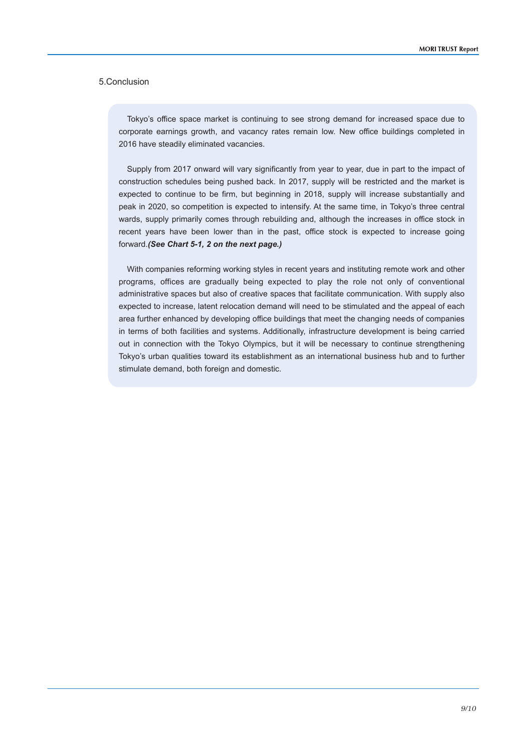### 5.Conclusion

Tokyo's office space market is continuing to see strong demand for increased space due to corporate earnings growth, and vacancy rates remain low. New office buildings completed in 2016 have steadily eliminated vacancies.

Supply from 2017 onward will vary significantly from year to year, due in part to the impact of construction schedules being pushed back. In 2017, supply will be restricted and the market is expected to continue to be firm, but beginning in 2018, supply will increase substantially and peak in 2020, so competition is expected to intensify. At the same time, in Tokyo's three central wards, supply primarily comes through rebuilding and, although the increases in office stock in recent years have been lower than in the past, office stock is expected to increase going forward.*(See Chart 5-1, 2 on the next page.)*

With companies reforming working styles in recent years and instituting remote work and other programs, offices are gradually being expected to play the role not only of conventional administrative spaces but also of creative spaces that facilitate communication. With supply also expected to increase, latent relocation demand will need to be stimulated and the appeal of each area further enhanced by developing office buildings that meet the changing needs of companies in terms of both facilities and systems. Additionally, infrastructure development is being carried out in connection with the Tokyo Olympics, but it will be necessary to continue strengthening Tokyo's urban qualities toward its establishment as an international business hub and to further stimulate demand, both foreign and domestic.